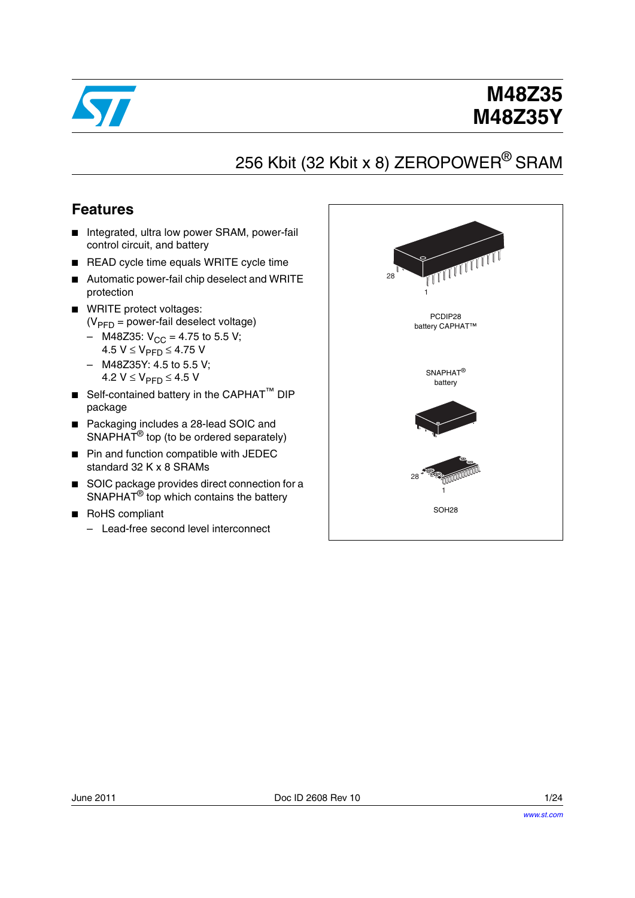

# **M48Z35 M48Z35Y**

# 256 Kbit (32 Kbit x 8) ZEROPOWER<sup>®</sup> SRAM

### **Features**

- Integrated, ultra low power SRAM, power-fail control circuit, and battery
- READ cycle time equals WRITE cycle time
- Automatic power-fail chip deselect and WRITE protection
- WRITE protect voltages:  $(V_{\text{PFD}} =$  power-fail deselect voltage)
	- M48Z35:  $V_{CC}$  = 4.75 to 5.5 V; 4.5 V ≤ V<sub>PFD</sub> ≤ 4.75 V
	- M48Z35Y: 4.5 to 5.5 V; 4.2  $V$  ≤  $V_{\text{PFD}}$  ≤ 4.5 V
- Self-contained battery in the CAPHAT<sup>™</sup> DIP package
- Packaging includes a 28-lead SOIC and SNAPHAT<sup>®</sup> top (to be ordered separately)
- Pin and function compatible with JEDEC standard 32 K x 8 SRAMs
- SOIC package provides direct connection for a SNAPHAT® top which contains the battery
- RoHS compliant
	- Lead-free second level interconnect

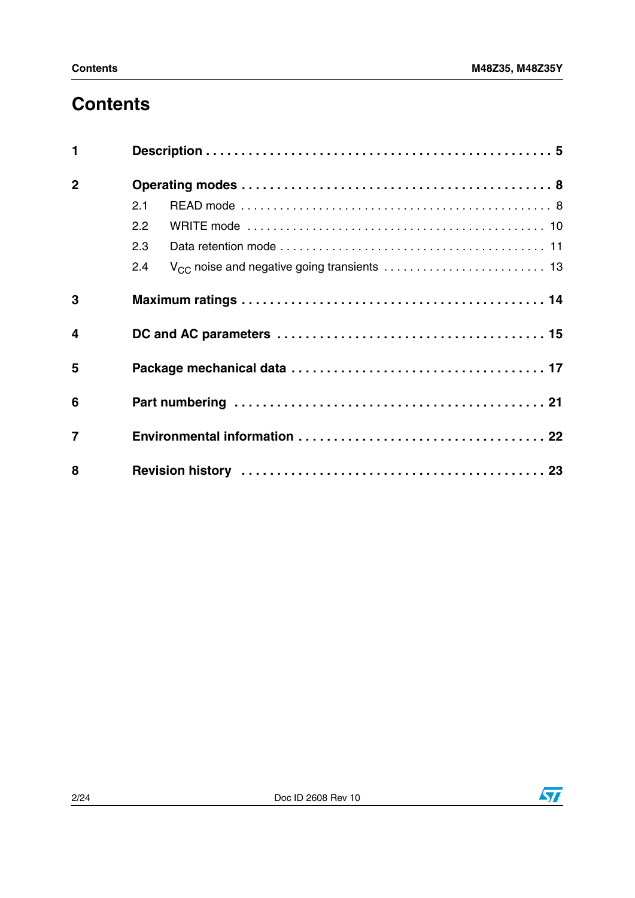# **Contents**

| $\blacksquare$ |     |  |
|----------------|-----|--|
| $\overline{2}$ |     |  |
|                | 2.1 |  |
|                | 2.2 |  |
|                | 2.3 |  |
|                | 2.4 |  |
| 3              |     |  |
| $\overline{4}$ |     |  |
| 5              |     |  |
| 6              |     |  |
| $\overline{7}$ |     |  |
| 8              |     |  |

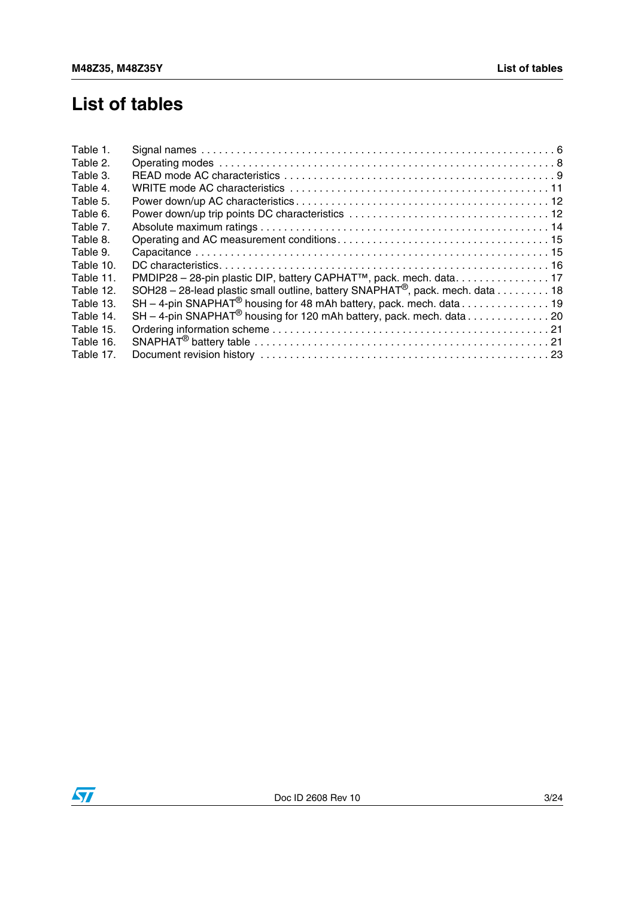## **List of tables**

| Table 1.  |                                                                                           |
|-----------|-------------------------------------------------------------------------------------------|
| Table 2.  |                                                                                           |
| Table 3.  |                                                                                           |
| Table 4.  |                                                                                           |
| Table 5.  |                                                                                           |
| Table 6.  |                                                                                           |
| Table 7.  |                                                                                           |
| Table 8.  |                                                                                           |
| Table 9.  |                                                                                           |
| Table 10. |                                                                                           |
| Table 11. | PMDIP28 - 28-pin plastic DIP, battery CAPHAT <sup>™</sup> , pack. mech. data. 17          |
| Table 12. | SOH28 - 28-lead plastic small outline, battery SNAPHAT <sup>®</sup> , pack. mech. data 18 |
| Table 13. | SH - 4-pin SNAPHAT <sup>®</sup> housing for 48 mAh battery, pack. mech. data 19           |
| Table 14. | SH - 4-pin SNAPHAT <sup>®</sup> housing for 120 mAh battery, pack. mech. data20           |
| Table 15. |                                                                                           |
| Table 16. |                                                                                           |
| Table 17. |                                                                                           |
|           |                                                                                           |

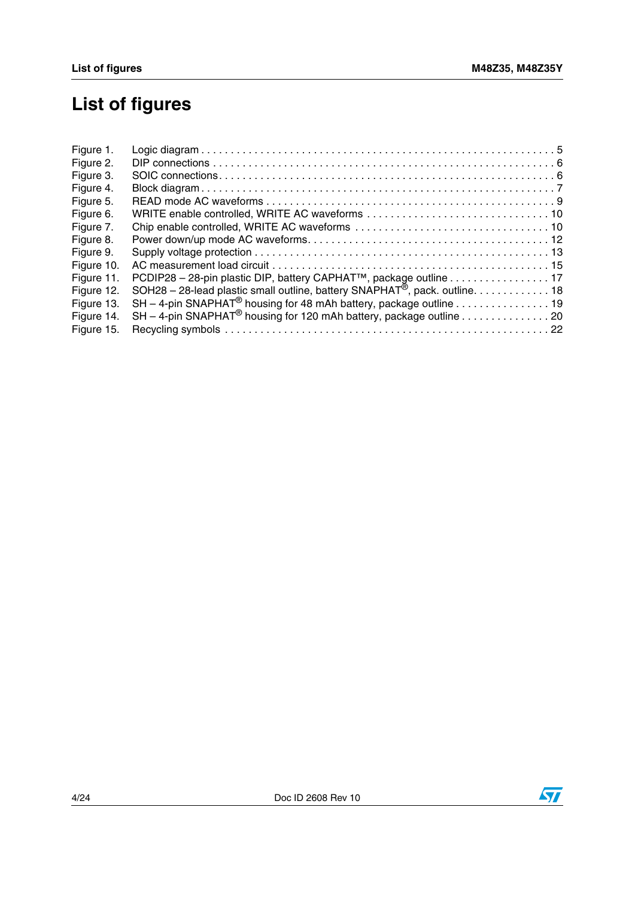# **List of figures**

| Figure 1.  |                                                                                         |  |
|------------|-----------------------------------------------------------------------------------------|--|
| Figure 2.  |                                                                                         |  |
| Figure 3.  |                                                                                         |  |
| Figure 4.  |                                                                                         |  |
| Figure 5.  |                                                                                         |  |
| Figure 6.  |                                                                                         |  |
| Figure 7.  |                                                                                         |  |
| Figure 8.  |                                                                                         |  |
| Figure 9.  |                                                                                         |  |
| Figure 10. |                                                                                         |  |
| Figure 11. | PCDIP28 - 28-pin plastic DIP, battery CAPHAT™, package outline 17                       |  |
| Figure 12. | SOH28 - 28-lead plastic small outline, battery SNAPHAT <sup>®</sup> , pack. outline. 18 |  |
| Figure 13. | SH - 4-pin SNAPHAT <sup>®</sup> housing for 48 mAh battery, package outline 19          |  |
| Figure 14. | SH - 4-pin SNAPHAT <sup>®</sup> housing for 120 mAh battery, package outline 20         |  |
| Figure 15. |                                                                                         |  |
|            |                                                                                         |  |



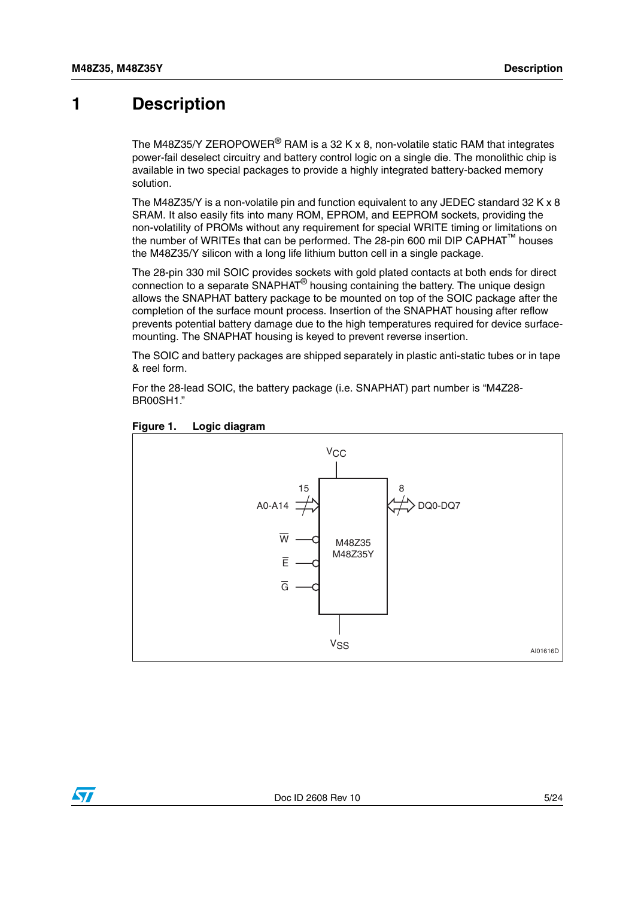### <span id="page-4-0"></span>**1 Description**

The M48Z35/Y ZEROPOWER<sup>®</sup> RAM is a 32 K x 8, non-volatile static RAM that integrates power-fail deselect circuitry and battery control logic on a single die. The monolithic chip is available in two special packages to provide a highly integrated battery-backed memory solution.

The M48Z35/Y is a non-volatile pin and function equivalent to any JEDEC standard 32 K x 8 SRAM. It also easily fits into many ROM, EPROM, and EEPROM sockets, providing the non-volatility of PROMs without any requirement for special WRITE timing or limitations on the number of WRITEs that can be performed. The 28-pin 600 mil DIP CAPHAT™ houses the M48Z35/Y silicon with a long life lithium button cell in a single package.

The 28-pin 330 mil SOIC provides sockets with gold plated contacts at both ends for direct connection to a separate  $SNAPHAT^{\circledR}$  housing containing the battery. The unique design allows the SNAPHAT battery package to be mounted on top of the SOIC package after the completion of the surface mount process. Insertion of the SNAPHAT housing after reflow prevents potential battery damage due to the high temperatures required for device surfacemounting. The SNAPHAT housing is keyed to prevent reverse insertion.

The SOIC and battery packages are shipped separately in plastic anti-static tubes or in tape & reel form.

For the 28-lead SOIC, the battery package (i.e. SNAPHAT) part number is "M4Z28- BR00SH1."



#### <span id="page-4-1"></span>**Figure 1. Logic diagram**

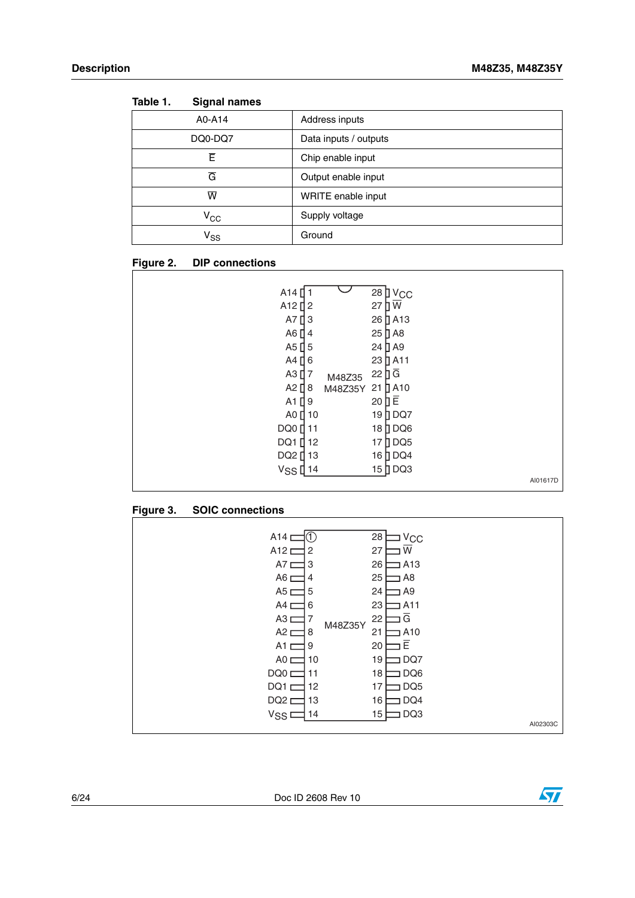| iapie I.<br>Signal names   |                       |
|----------------------------|-----------------------|
| A0-A14                     | Address inputs        |
| DQ0-DQ7                    | Data inputs / outputs |
| Ē.                         | Chip enable input     |
| $\overline{\mathsf{G}}$    | Output enable input   |
| ℼ                          | WRITE enable input    |
| $\rm v_{cc}$               | Supply voltage        |
| $\mathsf{v}_{\mathsf{ss}}$ | Ground                |

<span id="page-5-0"></span>

| Table 1. | <b>Signal names</b> |
|----------|---------------------|
|----------|---------------------|

#### <span id="page-5-1"></span>**Figure 2. DIP connections**

| A14 <sup>[]</sup>         | 28 <b>]</b> V <sub>CC</sub>              |
|---------------------------|------------------------------------------|
| A <sub>12</sub> $\vert$ 2 | ПW<br>27                                 |
| $A7$ [<br>3               | 26 D A13                                 |
| A6 $[$ 4                  | $25$ $\overline{)}$ A8                   |
| A5 $\prod$ 5              | $24$ [] A9                               |
| $A4$ [ 6                  | $23$ $\overline{)}$ A <sub>11</sub>      |
| A3 $[]$ 7                 | $22 \overline{) \overline{G}}$<br>M48Z35 |
| A2 $[$ 8                  | $\Pi$ A10<br>21<br>M48Z35Y               |
| A1 $\prod$ 9              | 20 日                                     |
| A0 $\prod$ 10             | DQ7<br>19 ∏                              |
| DQ0 [ 11                  | 18 DQ6                                   |
| DQ1 [ 12                  | $\overline{)}$ DQ5<br>17                 |
| DQ2 [ 13                  | 16 DQ4                                   |
| V <sub>SS</sub> [14       | 15 DQ3                                   |
|                           | AI01617D                                 |

#### <span id="page-5-2"></span>**Figure 3. SOIC connections**



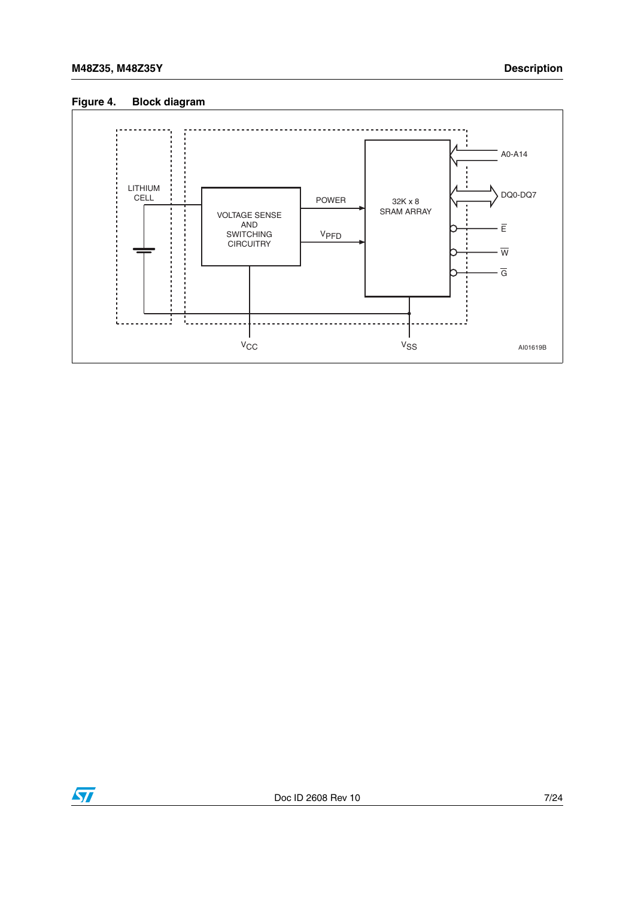#### <span id="page-6-0"></span>**Figure 4. Block diagram**



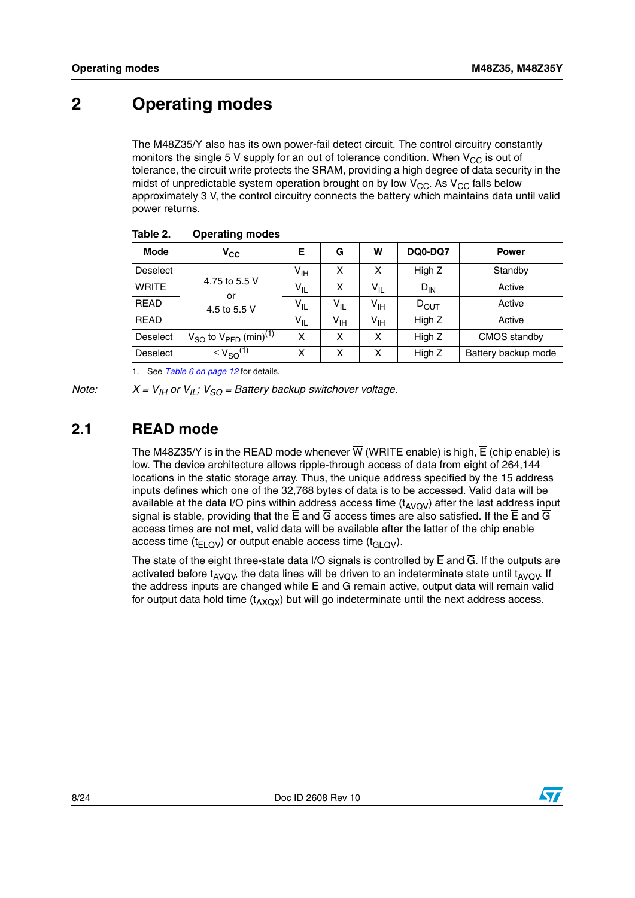## <span id="page-7-0"></span>**2 Operating modes**

The M48Z35/Y also has its own power-fail detect circuit. The control circuitry constantly monitors the single 5 V supply for an out of tolerance condition. When  $V_{CC}$  is out of tolerance, the circuit write protects the SRAM, providing a high degree of data security in the midst of unpredictable system operation brought on by low  $V_{CC}$ . As  $V_{CC}$  falls below approximately 3 V, the control circuitry connects the battery which maintains data until valid power returns.

| <b>Mode</b>     | $V_{CC}$                                          | Ē               | Ğ               | W               | <b>DQ0-DQ7</b> | <b>Power</b>        |
|-----------------|---------------------------------------------------|-----------------|-----------------|-----------------|----------------|---------------------|
| <b>Deselect</b> |                                                   | $V_{\text{IH}}$ | X               | x               | High Z         | Standby             |
| <b>WRITE</b>    | 4.75 to 5.5 V<br>or                               | $V_{IL}$        | x               | $V_{IL}$        | $D_{IN}$       | Active              |
| <b>READ</b>     | 4.5 to 5.5 V                                      | $V_{IL}$        | $V_{IL}$        | V <sub>IH</sub> | $D_{OUT}$      | Active              |
| <b>READ</b>     |                                                   | $V_{IL}$        | $V_{\text{IH}}$ | V <sub>IH</sub> | High Z         | Active              |
| <b>Deselect</b> | $V_{SO}$ to $V_{\text{PFD}}$ (min) <sup>(1)</sup> | x               | x               | X               | High Z         | CMOS standby        |
| <b>Deselect</b> | $\leq$ $V_{SO}$ <sup>(1)</sup>                    | x               | x               | x               | High Z         | Battery backup mode |

#### <span id="page-7-2"></span>**Table 2. Operating modes**

1. See *[Table 6 on page 12](#page-11-1)* for details.

*Note:*  $X = V_{\text{IH}}$  or  $V_{\text{IL}}$ ;  $V_{\text{SO}} =$  Battery backup switchover voltage.

### <span id="page-7-1"></span>**2.1 READ mode**

The M48Z35/Y is in the READ mode whenever  $\overline{W}$  (WRITE enable) is high,  $\overline{E}$  (chip enable) is low. The device architecture allows ripple-through access of data from eight of 264,144 locations in the static storage array. Thus, the unique address specified by the 15 address inputs defines which one of the 32,768 bytes of data is to be accessed. Valid data will be available at the data I/O pins within address access time  $(t_{AVQV})$  after the last address input signal is stable, providing that the  $\overline{E}$  and  $\overline{G}$  access times are also satisfied. If the  $\overline{E}$  and  $\overline{G}$ access times are not met, valid data will be available after the latter of the chip enable access time ( $t_{ELOV}$ ) or output enable access time ( $t_{GLOV}$ ).

The state of the eight three-state data I/O signals is controlled by  $\overline{E}$  and  $\overline{G}$ . If the outputs are activated before t<sub>AVOV</sub>, the data lines will be driven to an indeterminate state until t<sub>AVOV</sub>. If the address inputs are changed while  $\overline{E}$  and  $\overline{G}$  remain active, output data will remain valid for output data hold time  $(t_{AXOX})$  but will go indeterminate until the next address access.

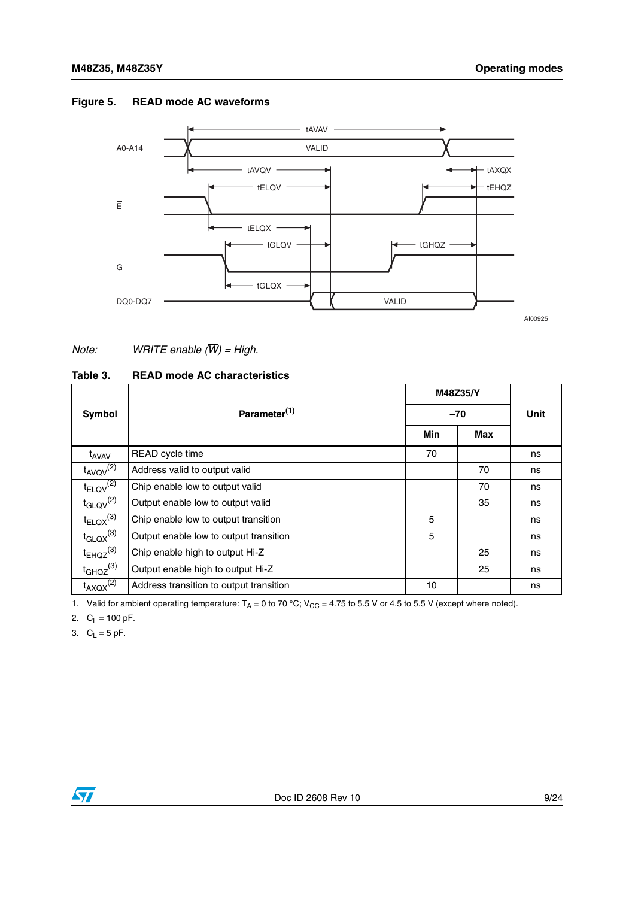

#### <span id="page-8-1"></span>**Figure 5. READ mode AC waveforms**

*Note: WRITE enable (W) = High.*

#### <span id="page-8-0"></span>**Table 3. READ mode AC characteristics**

|                           | Parameter <sup>(1)</sup>                | M48Z35/Y |     | Unit |
|---------------------------|-----------------------------------------|----------|-----|------|
| Symbol                    |                                         | $-70$    |     |      |
|                           |                                         | Min      | Max |      |
| t <sub>AVAV</sub>         | READ cycle time                         | 70       |     | ns   |
| $t_{AVQV}$ <sup>(2)</sup> | Address valid to output valid           |          | 70  | ns   |
| $t_{ELQV}$ <sup>(2)</sup> | Chip enable low to output valid         |          | 70  | ns   |
| $t_{\text{GLQV}}^{(2)}$   | Output enable low to output valid       |          | 35  | ns   |
| $t_{ELQX}^{(3)}$          | Chip enable low to output transition    | 5        |     | ns   |
| $t_{\text{GLQX}}^{(3)}$   | Output enable low to output transition  | 5        |     | ns   |
| $t_{EHQZ}^{(3)}$          | Chip enable high to output Hi-Z         |          | 25  | ns   |
| $t_{GHQZ}^{(3)}$          | Output enable high to output Hi-Z       |          | 25  | ns   |
| $t_{AXQX}^{(2)}$          | Address transition to output transition | 10       |     | ns   |

1. Valid for ambient operating temperature:  $T_A = 0$  to 70 °C; V<sub>CC</sub> = 4.75 to 5.5 V or 4.5 to 5.5 V (except where noted).

2.  $C_L = 100 \text{ pF}.$ 

3.  $C_L = 5$  pF.

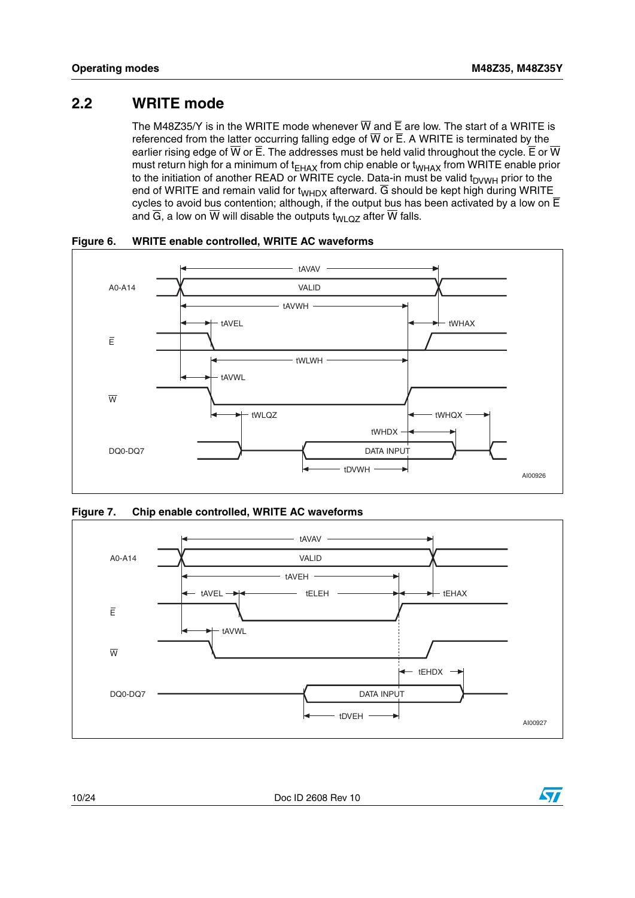### <span id="page-9-0"></span>**2.2 WRITE mode**

The M48Z35/Y is in the WRITE mode whenever  $\overline{W}$  and  $\overline{E}$  are low. The start of a WRITE is referenced from the latter occurring falling edge of  $\overline{W}$  or  $\overline{E}$ . A WRITE is terminated by the earlier rising edge of  $\overline{W}$  or  $\overline{E}$ . The addresses must be held valid throughout the cycle.  $\overline{E}$  or  $\overline{W}$ must return high for a minimum of  $t_{EHAX}$  from chip enable or  $t_{WHAX}$  from WRITE enable prior to the initiation of another READ or WRITE cycle. Data-in must be valid  $t_{\text{DVWH}}$  prior to the end of WRITE and remain valid for  $t_{WHDX}$  afterward.  $\overline{G}$  should be kept high during WRITE cycles to avoid bus contention; although, if the output bus has been activated by a low on  $\overline{E}$ and  $\overline{G}$ , a low on  $\overline{W}$  will disable the outputs t<sub>WLQZ</sub> after  $\overline{W}$  falls.



<span id="page-9-1"></span>**Figure 6. WRITE enable controlled, WRITE AC waveforms**

<span id="page-9-2"></span>



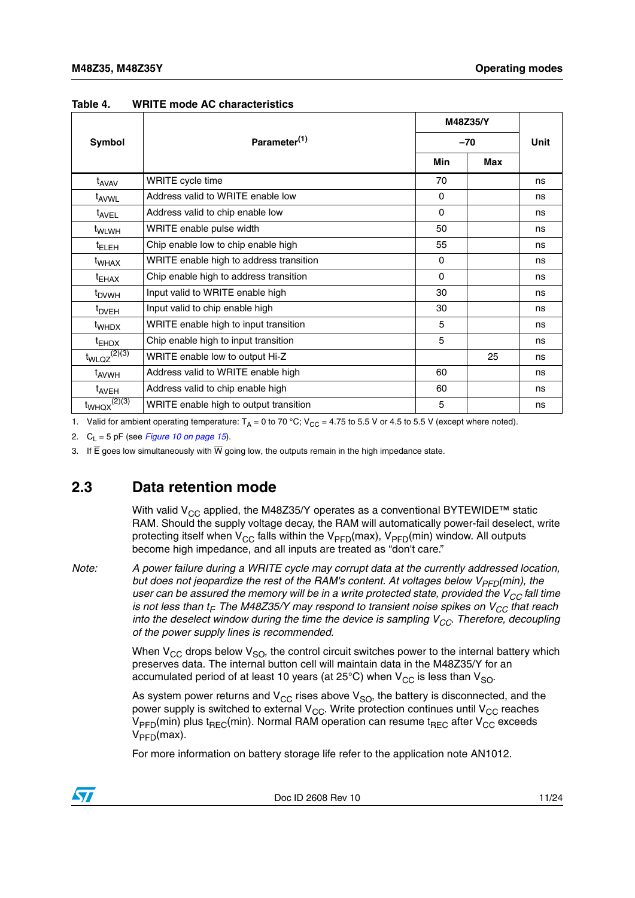|                                |                                         | M48Z35/Y<br>$-70$ |     | <b>Unit</b> |
|--------------------------------|-----------------------------------------|-------------------|-----|-------------|
| Symbol                         | Parameter <sup>(1)</sup>                |                   |     |             |
|                                |                                         | <b>Min</b>        | Max |             |
| t <sub>AVAV</sub>              | WRITE cycle time                        | 70                |     | ns          |
| t <sub>AVWL</sub>              | Address valid to WRITE enable low       | $\Omega$          |     | ns          |
| t <sub>AVEL</sub>              | Address valid to chip enable low        | $\Omega$          |     | ns          |
| t <sub>WLWH</sub>              | WRITE enable pulse width                | 50                |     | ns          |
| <sup>t</sup> ELEH              | Chip enable low to chip enable high     | 55                |     | ns          |
| t <sub>WHAX</sub>              | WRITE enable high to address transition | $\Omega$          |     | ns          |
| $t_{EHAX}$                     | Chip enable high to address transition  | $\Omega$          |     | ns          |
| t <sub>DVWH</sub>              | Input valid to WRITE enable high        | 30                |     | ns          |
| t <sub>DVEH</sub>              | Input valid to chip enable high         | 30                |     | ns          |
| <sup>t</sup> whdx              | WRITE enable high to input transition   | 5                 |     | ns          |
| $t_{EHDX}$                     | Chip enable high to input transition    | 5                 |     | ns          |
| $t_{WLQZ}^{(2)(3)}$            | WRITE enable low to output Hi-Z         |                   | 25  | ns          |
| t <sub>AVWH</sub>              | Address valid to WRITE enable high      | 60                |     | ns          |
| <sup>t</sup> AVEH              | Address valid to chip enable high       | 60                |     | ns          |
| $t_{WHQX}^{(2)\overline{(3)}}$ | WRITE enable high to output transition  | 5                 |     | ns          |

<span id="page-10-2"></span><span id="page-10-1"></span>**Table 4. WRITE mode AC characteristics**

1. Valid for ambient operating temperature:  $T_A = 0$  to 70 °C; V<sub>CC</sub> = 4.75 to 5.5 V or 4.5 to 5.5 V (except where noted).

2.  $C_1 = 5$  pF (see *[Figure 10 on page 15](#page-14-3)*).

3. If  $\overline{E}$  goes low simultaneously with  $\overline{W}$  going low, the outputs remain in the high impedance state.

### <span id="page-10-0"></span>**2.3 Data retention mode**

With valid V<sub>CC</sub> applied, the M48Z35/Y operates as a conventional BYTEWIDE<sup>™</sup> static RAM. Should the supply voltage decay, the RAM will automatically power-fail deselect, write protecting itself when  $V_{CC}$  falls within the  $V_{PFD}(max)$ ,  $V_{PFD}(min)$  window. All outputs become high impedance, and all inputs are treated as "don't care."

*Note: A power failure during a WRITE cycle may corrupt data at the currently addressed location, but does not jeopardize the rest of the RAM's content. At voltages below*  $V_{PFD}(min)$ *, the user can be assured the memory will be in a write protected state, provided the V<sub>CC</sub> fall time is not less than t<sub>F</sub>. The M48Z35/Y may respond to transient noise spikes on V<sub>CC</sub> that reach into the deselect window during the time the device is sampling*  $V_{CC}$ *. Therefore, decoupling of the power supply lines is recommended.*

> When  $V_{CC}$  drops below  $V_{SO}$ , the control circuit switches power to the internal battery which preserves data. The internal button cell will maintain data in the M48Z35/Y for an accumulated period of at least 10 years (at 25°C) when  $V_{CC}$  is less than  $V_{SO}$ .

As system power returns and  $V_{CC}$  rises above  $V_{SO}$ , the battery is disconnected, and the power supply is switched to external  $V_{CC}$ . Write protection continues until  $V_{CC}$  reaches  $V_{\text{PFD}}$ (min) plus t<sub>RFC</sub>(min). Normal RAM operation can resume t<sub>RFC</sub> after V<sub>CC</sub> exceeds  $V_{\text{PFD}}$ (max).

For more information on battery storage life refer to the application note AN1012.

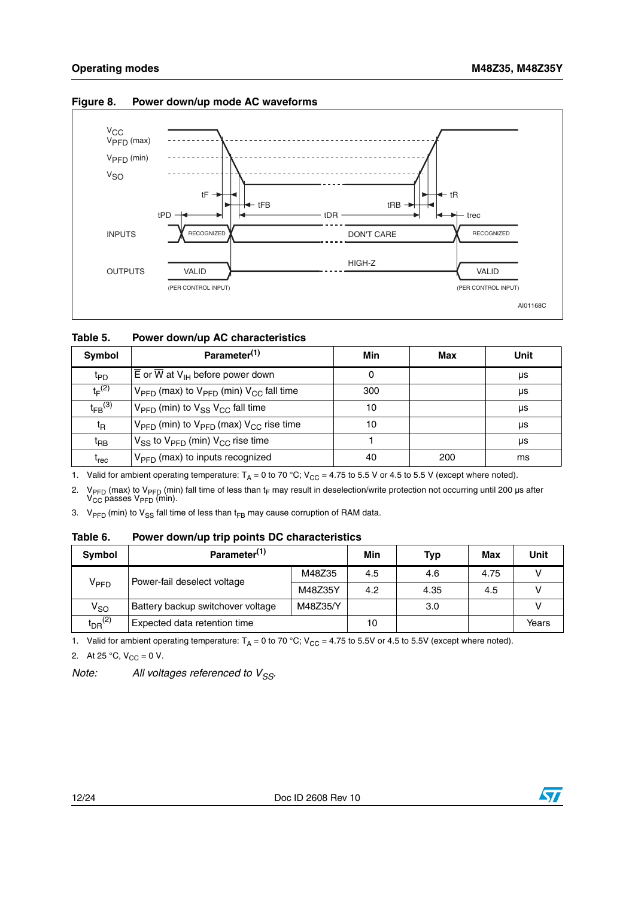

#### <span id="page-11-2"></span>**Figure 8. Power down/up mode AC waveforms**

<span id="page-11-0"></span>

| Table 5. |  | Power down/up AC characteristics |
|----------|--|----------------------------------|
|----------|--|----------------------------------|

| Symbol                        | Parameter <sup>(1)</sup>                                                   | Min | Max | Unit |
|-------------------------------|----------------------------------------------------------------------------|-----|-----|------|
| t <sub>PD</sub>               | $\overline{E}$ or $\overline{W}$ at $V_{\text{IH}}$ before power down      | 0   |     | μs   |
| $t_F(2)$                      | $V_{\text{PFD}}$ (max) to $V_{\text{PFD}}$ (min) $V_{\text{CC}}$ fall time | 300 |     | μs   |
| $t_{FB}$ (3)                  | $V_{\text{PFD}}$ (min) to $V_{\text{SS}}$ $V_{\text{CC}}$ fall time        | 10  |     | μs   |
| $t_{\mathsf{R}}$              | $V_{\text{PFD}}$ (min) to $V_{\text{PFD}}$ (max) $V_{\text{CC}}$ rise time | 10  |     | μs   |
| t <sub>RВ</sub>               | $V_{SS}$ to $V_{PFD}$ (min) $V_{CC}$ rise time                             |     |     | μs   |
| $\mathfrak{t}_{\mathsf{rec}}$ | $V_{\text{PFD}}$ (max) to inputs recognized                                | 40  | 200 | ms   |

1. Valid for ambient operating temperature:  $T_A = 0$  to 70 °C; V<sub>CC</sub> = 4.75 to 5.5 V or 4.5 to 5.5 V (except where noted).

2. V<sub>PFD</sub> (max) to V<sub>PFD</sub> (min) fall time of less than t<sub>F</sub> may result in deselection/write protection not occurring until 200 µs after V<sub>CC</sub> passes V<sub>PFD</sub> (min).

3.  $V_{\text{PFD}}$  (min) to  $V_{SS}$  fall time of less than t<sub>FB</sub> may cause corruption of RAM data.

#### <span id="page-11-1"></span>**Table 6. Power down/up trip points DC characteristics**

| Symbol                  | Parameter <sup>(1)</sup>          |          | Min | <b>Typ</b> | Max  | Unit  |
|-------------------------|-----------------------------------|----------|-----|------------|------|-------|
| V <sub>PFD</sub>        | Power-fail deselect voltage       | M48Z35   | 4.5 | 4.6        | 4.75 |       |
|                         |                                   | M48Z35Y  | 4.2 | 4.35       | 4.5  |       |
| $V_{SO}$                | Battery backup switchover voltage | M48Z35/Y |     | 3.0        |      |       |
| $t_{DR}$ <sup>(2)</sup> | Expected data retention time      |          | 10  |            |      | Years |

1. Valid for ambient operating temperature:  $T_A = 0$  to 70 °C; V<sub>CC</sub> = 4.75 to 5.5V or 4.5 to 5.5V (except where noted).

2. At 25 °C,  $V_{CC} = 0$  V.

*Note:* All voltages referenced to V<sub>SS</sub>.

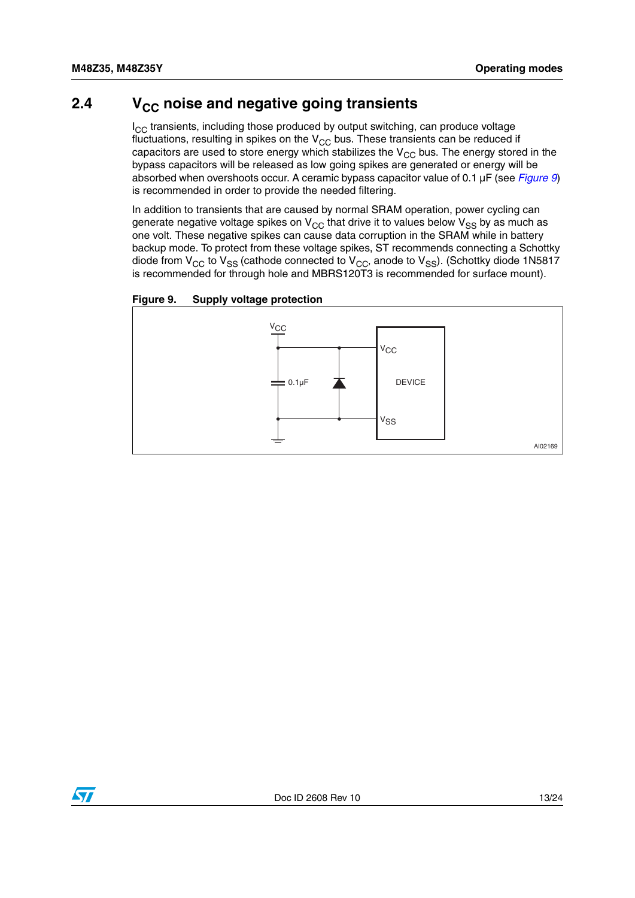### <span id="page-12-0"></span>**2.4** V<sub>CC</sub> noise and negative going transients

 $I_{CC}$  transients, including those produced by output switching, can produce voltage fluctuations, resulting in spikes on the  $V_{CC}$  bus. These transients can be reduced if capacitors are used to store energy which stabilizes the  $V_{CC}$  bus. The energy stored in the bypass capacitors will be released as low going spikes are generated or energy will be absorbed when overshoots occur. A ceramic bypass capacitor value of 0.1 µF (see *[Figure 9](#page-12-1)*) is recommended in order to provide the needed filtering.

In addition to transients that are caused by normal SRAM operation, power cycling can generate negative voltage spikes on  $V_{CC}$  that drive it to values below  $V_{SS}$  by as much as one volt. These negative spikes can cause data corruption in the SRAM while in battery backup mode. To protect from these voltage spikes, ST recommends connecting a Schottky diode from  $V_{CC}$  to  $V_{SS}$  (cathode connected to  $V_{CC}$ , anode to  $V_{SS}$ ). (Schottky diode 1N5817 is recommended for through hole and MBRS120T3 is recommended for surface mount).

<span id="page-12-1"></span>



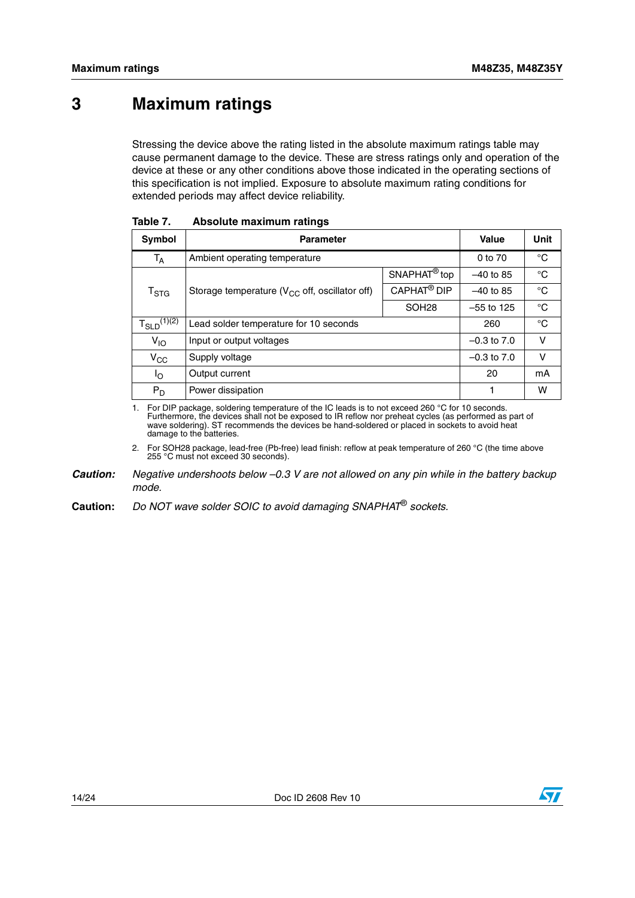## <span id="page-13-0"></span>**3 Maximum ratings**

Stressing the device above the rating listed in the absolute maximum ratings table may cause permanent damage to the device. These are stress ratings only and operation of the device at these or any other conditions above those indicated in the operating sections of this specification is not implied. Exposure to absolute maximum rating conditions for extended periods may affect device reliability.

| <b>Symbol</b>      | <b>Parameter</b>                                    |                          | Value        | Unit        |
|--------------------|-----------------------------------------------------|--------------------------|--------------|-------------|
| $T_A$              | Ambient operating temperature                       | 0 to 70                  | °C           |             |
|                    |                                                     | SNAPHAT <sup>®</sup> top | $-40$ to 85  | °C          |
| $T_{\rm STG}$      | Storage temperature ( $V_{CC}$ off, oscillator off) | CAPHAT <sup>®</sup> DIP  | $-40$ to 85  | $^{\circ}C$ |
|                    |                                                     | SOH <sub>28</sub>        | $-55$ to 125 | °C          |
| $T_{SLD}^{(1)(2)}$ | Lead solder temperature for 10 seconds              | 260                      | °C           |             |
| $V_{IO}$           | Input or output voltages                            | $-0.3$ to $7.0$          | v            |             |
| $V_{\rm CC}$       | Supply voltage                                      | $-0.3$ to $7.0$          | v            |             |
| l <sub>O</sub>     | Output current                                      | 20                       | mA           |             |
| $P_D$              | Power dissipation                                   |                          |              | w           |

<span id="page-13-1"></span>**Table 7. Absolute maximum ratings**

<span id="page-13-2"></span>1. For DIP package, soldering temperature of the IC leads is to not exceed 260 °C for 10 seconds. Furthermore, the devices shall not be exposed to IR reflow nor preheat cycles (as performed as part of wave soldering). ST recommends the devices be hand-soldered or placed in sockets to avoid heat damage to the batteries.

2. For SOH28 package, lead-free (Pb-free) lead finish: reflow at peak temperature of 260 °C (the time above 255 °C must not exceed 30 seconds).

*Caution: Negative undershoots below –0.3 V are not allowed on any pin while in the battery backup mode.*

**Caution:** *Do NOT wave solder SOIC to avoid damaging SNAPHAT*® *sockets.*



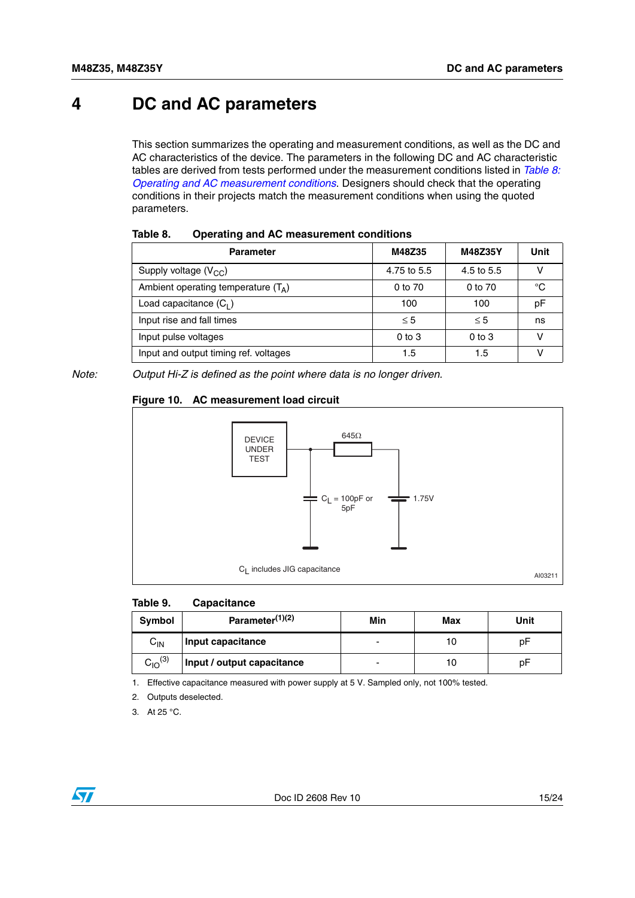### <span id="page-14-0"></span>**4 DC and AC parameters**

This section summarizes the operating and measurement conditions, as well as the DC and AC characteristics of the device. The parameters in the following DC and AC characteristic tables are derived from tests performed under the measurement conditions listed in *[Table 8:](#page-14-1)  [Operating and AC measurement conditions](#page-14-1)*. Designers should check that the operating conditions in their projects match the measurement conditions when using the quoted parameters.

| <b>Parameter</b>                      | M48Z35      | M48Z35Y    | Unit |
|---------------------------------------|-------------|------------|------|
| Supply voltage $(V_{CC})$             | 4.75 to 5.5 | 4.5 to 5.5 |      |
| Ambient operating temperature $(T_A)$ | 0 to 70     | 0 to 70    | °C   |
| Load capacitance $(C_1)$              | 100         | 100        | рF   |
| Input rise and fall times             | $\leq 5$    | $\leq 5$   | ns   |
| Input pulse voltages                  | $0$ to $3$  | $0$ to $3$ |      |
| Input and output timing ref. voltages | 1.5         | 1.5        |      |

<span id="page-14-1"></span>**Table 8. Operating and AC measurement conditions**

*Note: Output Hi-Z is defined as the point where data is no longer driven.*

#### <span id="page-14-3"></span>**Figure 10. AC measurement load circuit**



#### <span id="page-14-2"></span>**Table 9. Capacitance**

| Symbol         | Parameter <sup>(1)(2)</sup> | Min | Max | Unit |
|----------------|-----------------------------|-----|-----|------|
| $C_{IN}$       | Input capacitance           |     |     | рF   |
| $C_{10}^{(3)}$ | Input / output capacitance  |     | 10  | рF   |

1. Effective capacitance measured with power supply at 5 V. Sampled only, not 100% tested.

- 2. Outputs deselected.
- 3. At 25 °C.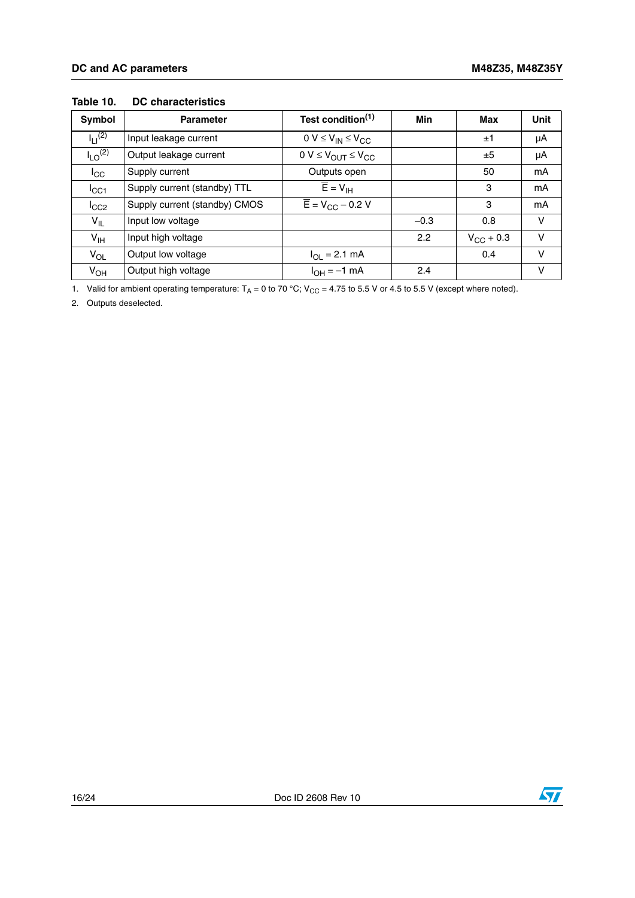| Symbol                  | <b>Parameter</b>              | Test condition <sup>(1)</sup>                | Min    | Max                | <b>Unit</b> |
|-------------------------|-------------------------------|----------------------------------------------|--------|--------------------|-------------|
| $I_{11}^{(2)}$          | Input leakage current         | $0 V \leq V_{IN} \leq V_{CC}$                |        | ±1                 | μA          |
| $I_{LO}$ <sup>(2)</sup> | Output leakage current        | $0 V \leq V_{\text{OUT}} \leq V_{\text{CC}}$ |        | ±5                 | μA          |
| $I_{\rm CC}$            | Supply current                | Outputs open                                 |        | 50                 | mA          |
| ICC1                    | Supply current (standby) TTL  | $\overline{E} = V_{\text{IH}}$               |        | 3                  | mA          |
| ICC2                    | Supply current (standby) CMOS | $\overline{E}$ = V <sub>CC</sub> – 0.2 V     |        | 3                  | mA          |
| $V_{IL}$                | Input low voltage             |                                              | $-0.3$ | 0.8                | v           |
| $V_{\text{IH}}$         | Input high voltage            |                                              | 2.2    | $V_{\rm CC}$ + 0.3 | $\vee$      |
| $V_{OL}$                | Output low voltage            | $I_{OL} = 2.1$ mA                            |        | 0.4                | v           |
| $V_{OH}$                | Output high voltage           | $I_{OH} = -1$ mA                             | 2.4    |                    | v           |

#### <span id="page-15-0"></span>**Table 10. DC characteristics**

1. Valid for ambient operating temperature:  $T_A = 0$  to 70 °C;  $V_{CC} = 4.75$  to 5.5 V or 4.5 to 5.5 V (except where noted).

2. Outputs deselected.

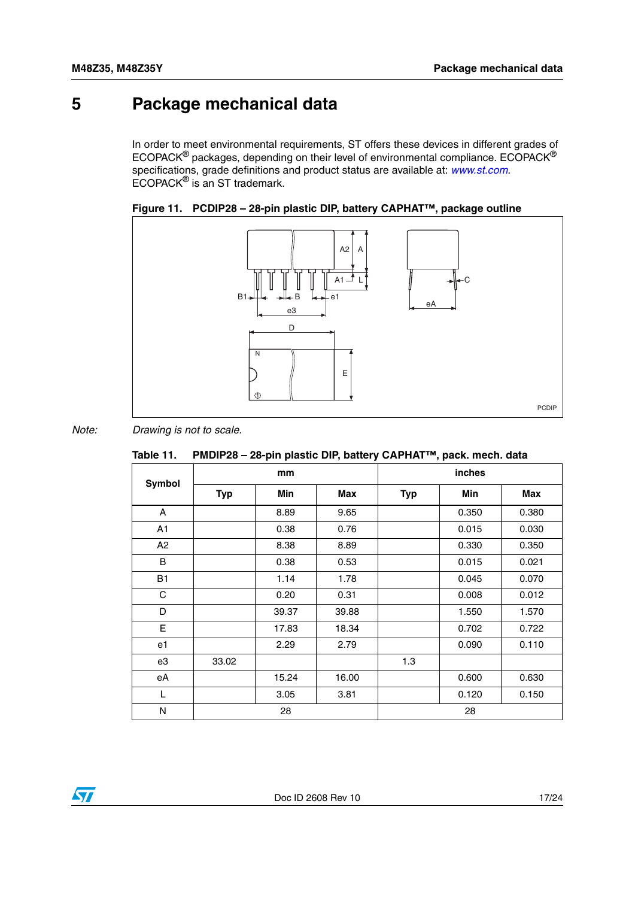## <span id="page-16-0"></span>**5 Package mechanical data**

In order to meet environmental requirements, ST offers these devices in different grades of ECOPACK® packages, depending on their level of environmental compliance. ECOPACK® specifications, grade definitions and product status are available at: *[www.st.com](http://www.st.com)*. ECOPACK® is an ST trademark.

<span id="page-16-2"></span>



*Note: Drawing is not to scale.*

<span id="page-16-1"></span>

|  | Table 11. PMDIP28 – 28-pin plastic DIP, battery CAPHAT™, pack. mech. data |  |
|--|---------------------------------------------------------------------------|--|
|--|---------------------------------------------------------------------------|--|

|               | mm         |       |       | inches     |       |       |
|---------------|------------|-------|-------|------------|-------|-------|
| <b>Symbol</b> | <b>Typ</b> | Min   | Max   | <b>Typ</b> | Min   | Max   |
| A             |            | 8.89  | 9.65  |            | 0.350 | 0.380 |
| A1            |            | 0.38  | 0.76  |            | 0.015 | 0.030 |
| A2            |            | 8.38  | 8.89  |            | 0.330 | 0.350 |
| B             |            | 0.38  | 0.53  |            | 0.015 | 0.021 |
| <b>B1</b>     |            | 1.14  | 1.78  |            | 0.045 | 0.070 |
| C             |            | 0.20  | 0.31  |            | 0.008 | 0.012 |
| D             |            | 39.37 | 39.88 |            | 1.550 | 1.570 |
| E             |            | 17.83 | 18.34 |            | 0.702 | 0.722 |
| e1            |            | 2.29  | 2.79  |            | 0.090 | 0.110 |
| e3            | 33.02      |       |       | 1.3        |       |       |
| еA            |            | 15.24 | 16.00 |            | 0.600 | 0.630 |
| L             |            | 3.05  | 3.81  |            | 0.120 | 0.150 |
| N             |            | 28    |       |            | 28    |       |

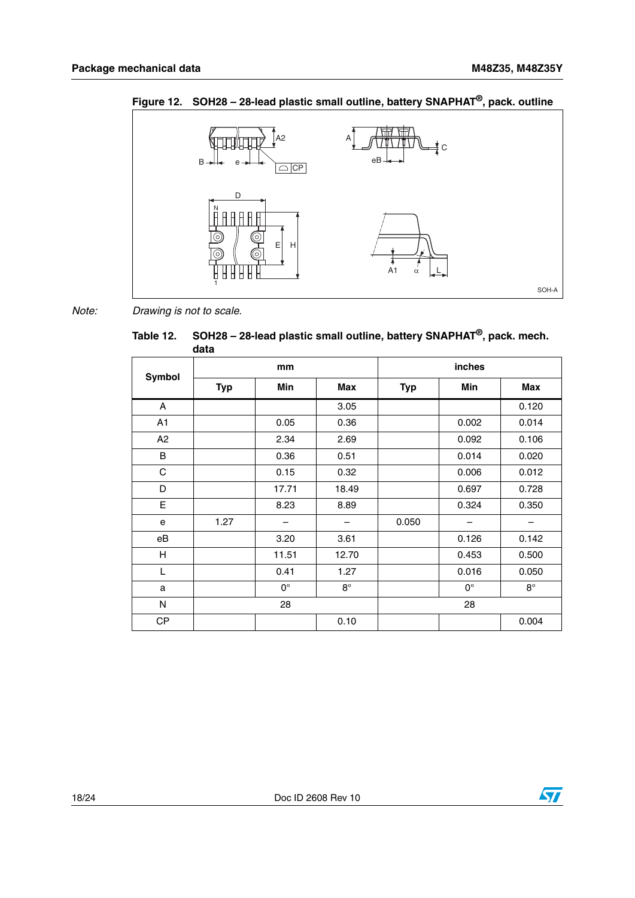

<span id="page-17-1"></span>**Figure 12. SOH28 – 28-lead plastic small outline, battery SNAPHAT®, pack. outline**

*Note: Drawing is not to scale.*

<span id="page-17-0"></span>**Table 12. SOH28 – 28-lead plastic small outline, battery SNAPHAT®, pack. mech. data**

|              | mm         |             |             | inches     |             |             |  |
|--------------|------------|-------------|-------------|------------|-------------|-------------|--|
| Symbol       | <b>Typ</b> | Min         | Max         | <b>Typ</b> | Min         | Max         |  |
| $\mathsf{A}$ |            |             | 3.05        |            |             | 0.120       |  |
| A1           |            | 0.05        | 0.36        |            | 0.002       | 0.014       |  |
| A2           |            | 2.34        | 2.69        |            | 0.092       | 0.106       |  |
| B            |            | 0.36        | 0.51        |            | 0.014       | 0.020       |  |
| $\mathbf C$  |            | 0.15        | 0.32        |            | 0.006       | 0.012       |  |
| D            |            | 17.71       | 18.49       |            | 0.697       | 0.728       |  |
| E            |            | 8.23        | 8.89        |            | 0.324       | 0.350       |  |
| e            | 1.27       |             |             | 0.050      |             |             |  |
| еB           |            | 3.20        | 3.61        |            | 0.126       | 0.142       |  |
| H            |            | 11.51       | 12.70       |            | 0.453       | 0.500       |  |
| Г            |            | 0.41        | 1.27        |            | 0.016       | 0.050       |  |
| a            |            | $0^{\circ}$ | $8^{\circ}$ |            | $0^{\circ}$ | $8^{\circ}$ |  |
| N            |            | 28          |             |            | 28          |             |  |
| CP           |            |             | 0.10        |            |             | 0.004       |  |

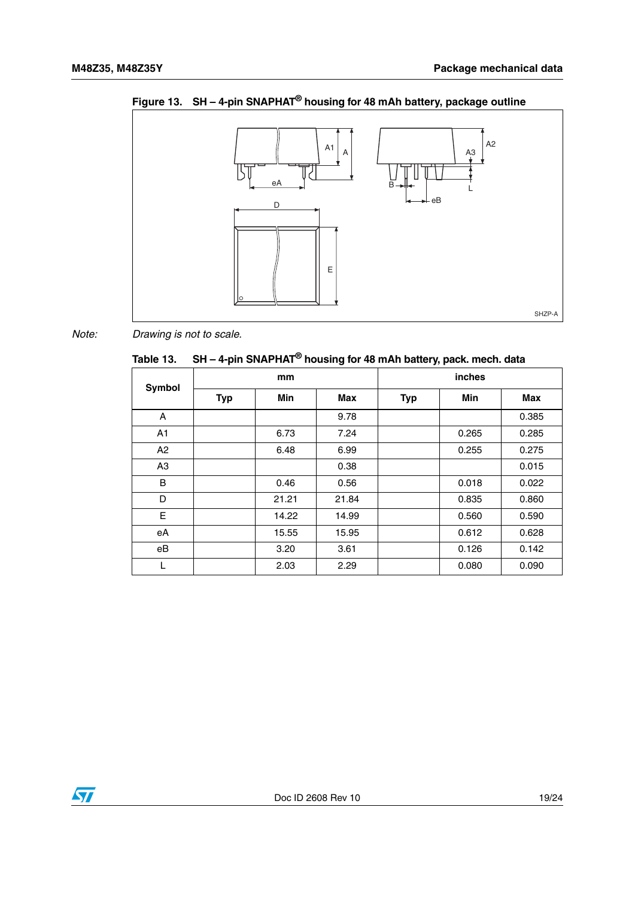

<span id="page-18-1"></span>**Figure 13. SH – 4-pin SNAPHAT® housing for 48 mAh battery, package outline**

*Note: Drawing is not to scale.*

<span id="page-18-0"></span>**Table 13. SH – 4-pin SNAPHAT® housing for 48 mAh battery, pack. mech. data**

| <b>Symbol</b>  | mm         |            |       | inches     |            |       |  |
|----------------|------------|------------|-------|------------|------------|-------|--|
|                | <b>Typ</b> | <b>Min</b> | Max   | <b>Typ</b> | <b>Min</b> | Max   |  |
| A              |            |            | 9.78  |            |            | 0.385 |  |
| A1             |            | 6.73       | 7.24  |            | 0.265      | 0.285 |  |
| A2             |            | 6.48       | 6.99  |            | 0.255      | 0.275 |  |
| A <sub>3</sub> |            |            | 0.38  |            |            | 0.015 |  |
| B              |            | 0.46       | 0.56  |            | 0.018      | 0.022 |  |
| D              |            | 21.21      | 21.84 |            | 0.835      | 0.860 |  |
| E              |            | 14.22      | 14.99 |            | 0.560      | 0.590 |  |
| eA             |            | 15.55      | 15.95 |            | 0.612      | 0.628 |  |
| еB             |            | 3.20       | 3.61  |            | 0.126      | 0.142 |  |
| L              |            | 2.03       | 2.29  |            | 0.080      | 0.090 |  |

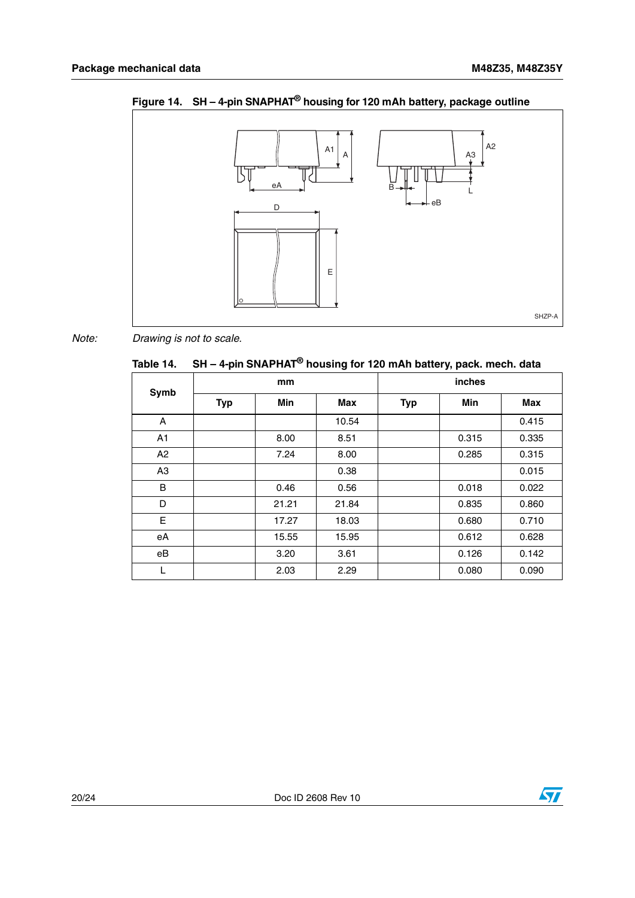

<span id="page-19-1"></span>**Figure 14. SH – 4-pin SNAPHAT® housing for 120 mAh battery, package outline**

*Note: Drawing is not to scale.*

<span id="page-19-0"></span>

|  | Table 14. $\,$ SH – 4-pin SNAPHAT $^{\circledR}$ housing for 120 mAh battery, pack. mech. data |
|--|------------------------------------------------------------------------------------------------|
|  |                                                                                                |

| Symb           | mm         |       |       | inches     |       |       |
|----------------|------------|-------|-------|------------|-------|-------|
|                | <b>Typ</b> | Min   | Max   | <b>Typ</b> | Min   | Max   |
| A              |            |       | 10.54 |            |       | 0.415 |
| A <sub>1</sub> |            | 8.00  | 8.51  |            | 0.315 | 0.335 |
| A2             |            | 7.24  | 8.00  |            | 0.285 | 0.315 |
| A <sub>3</sub> |            |       | 0.38  |            |       | 0.015 |
| B              |            | 0.46  | 0.56  |            | 0.018 | 0.022 |
| D              |            | 21.21 | 21.84 |            | 0.835 | 0.860 |
| E              |            | 17.27 | 18.03 |            | 0.680 | 0.710 |
| eA             |            | 15.55 | 15.95 |            | 0.612 | 0.628 |
| eB             |            | 3.20  | 3.61  |            | 0.126 | 0.142 |
| L              |            | 2.03  | 2.29  |            | 0.080 | 0.090 |

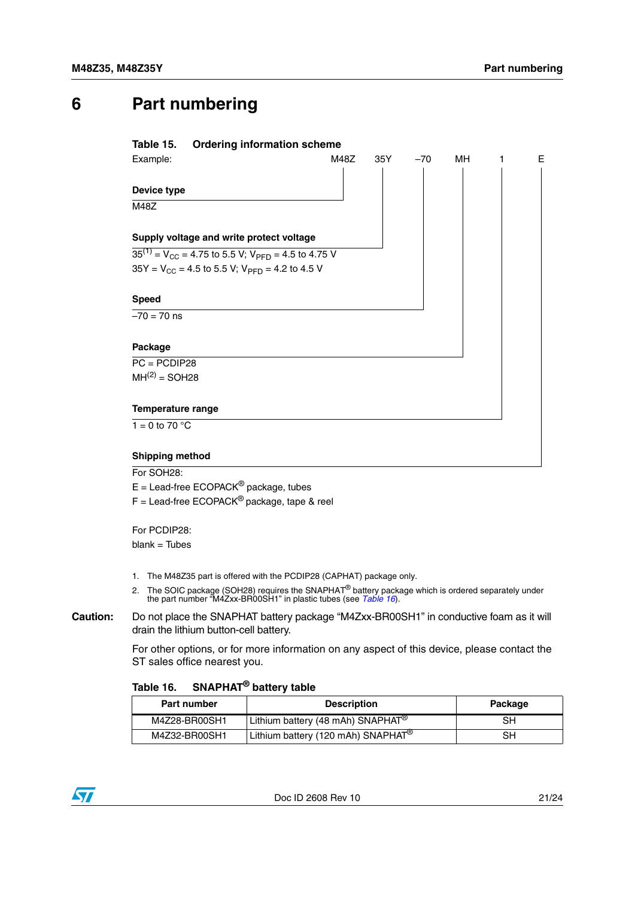## <span id="page-20-0"></span>**6 Part numbering**

#### <span id="page-20-1"></span>**Table 15. Ordering information scheme**

| Example:                                                       | M48Z | 35Y | $-70$ | MН | Е |
|----------------------------------------------------------------|------|-----|-------|----|---|
|                                                                |      |     |       |    |   |
| Device type                                                    |      |     |       |    |   |
| M48Z                                                           |      |     |       |    |   |
| Supply voltage and write protect voltage                       |      |     |       |    |   |
| $35^{(1)} = V_{CC} = 4.75$ to 5.5 V; $V_{PFD} = 4.5$ to 4.75 V |      |     |       |    |   |
| $35Y = V_{CC} = 4.5$ to 5.5 V; $V_{PFD} = 4.2$ to 4.5 V        |      |     |       |    |   |
| <b>Speed</b>                                                   |      |     |       |    |   |
| $-70 = 70$ ns                                                  |      |     |       |    |   |
| Package                                                        |      |     |       |    |   |
| $PC = PCDIP28$                                                 |      |     |       |    |   |
| $MH(2) = SOL28$                                                |      |     |       |    |   |
| <b>Temperature range</b>                                       |      |     |       |    |   |
| 1 = 0 to 70 $^{\circ}$ C                                       |      |     |       |    |   |
| <b>Shipping method</b>                                         |      |     |       |    |   |

For SOH<sub>28</sub>:

 $E =$  Lead-free ECOPACK<sup>®</sup> package, tubes

 $F =$  Lead-free ECOPACK<sup>®</sup> package, tape & reel

For PCDIP28:  $blank = Tubes$ 

- 1. The M48Z35 part is offered with the PCDIP28 (CAPHAT) package only.
- 2. The SOIC package (SOH28) requires the SNAPHAT<sup>®</sup> battery package which is ordered separately under the part number "M4Zxx-BR00SH1" in plastic tubes (see *[Table 16](#page-20-2)*).
- **Caution:** Do not place the SNAPHAT battery package "M4Zxx-BR00SH1" in conductive foam as it will drain the lithium button-cell battery.

For other options, or for more information on any aspect of this device, please contact the ST sales office nearest you.

#### <span id="page-20-2"></span>**Table 16. SNAPHAT® battery table**

| Part number   | <b>Description</b>                             | Package |
|---------------|------------------------------------------------|---------|
| M4Z28-BR00SH1 | Lithium battery (48 mAh) SNAPHAT <sup>®</sup>  | SН      |
| M4Z32-BR00SH1 | Lithium battery (120 mAh) SNAPHAT <sup>®</sup> | SН      |

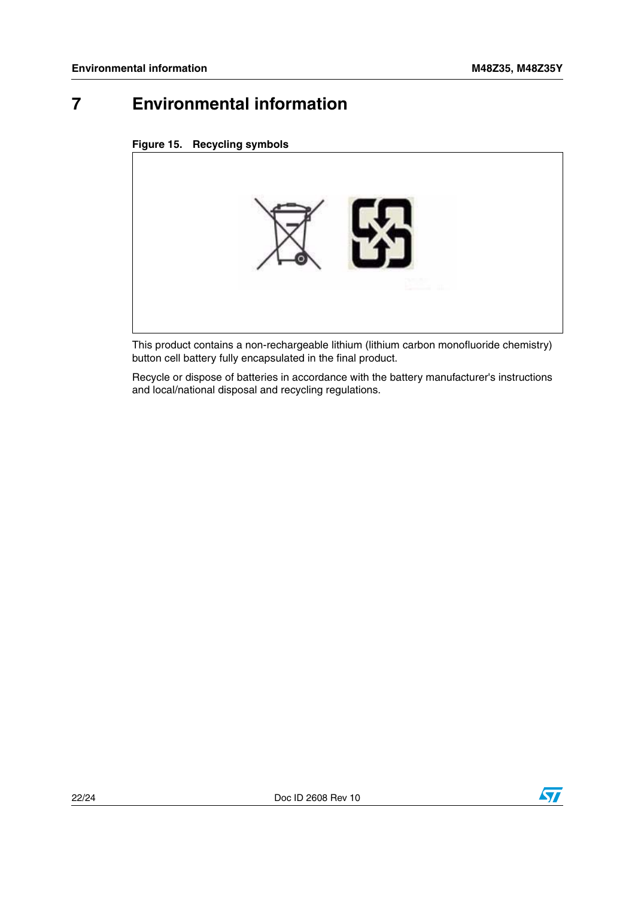## <span id="page-21-0"></span>**7 Environmental information**

<span id="page-21-1"></span>



This product contains a non-rechargeable lithium (lithium carbon monofluoride chemistry) button cell battery fully encapsulated in the final product.

Recycle or dispose of batteries in accordance with the battery manufacturer's instructions and local/national disposal and recycling regulations.

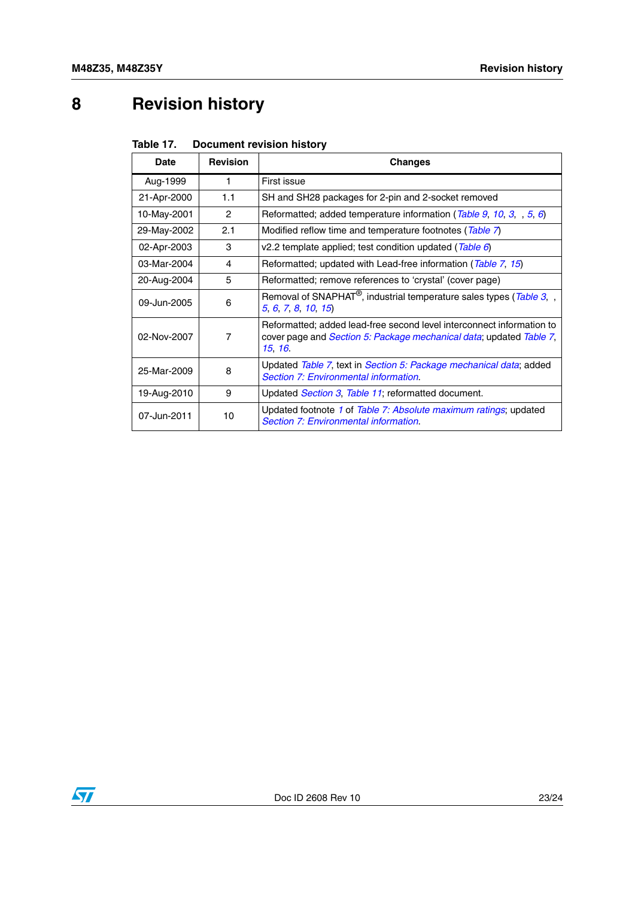# <span id="page-22-0"></span>**8 Revision history**

<span id="page-22-1"></span>

| Table 17. | <b>Document revision history</b> |  |
|-----------|----------------------------------|--|
|-----------|----------------------------------|--|

| Date        | <b>Revision</b> | <b>Changes</b>                                                                                                                                                  |  |
|-------------|-----------------|-----------------------------------------------------------------------------------------------------------------------------------------------------------------|--|
| Aug-1999    | 1               | First issue                                                                                                                                                     |  |
| 21-Apr-2000 | 1.1             | SH and SH28 packages for 2-pin and 2-socket removed                                                                                                             |  |
| 10-May-2001 | $\mathcal{P}$   | Reformatted; added temperature information (Table 9, 10, 3, , 5, 6)                                                                                             |  |
| 29-May-2002 | 2.1             | Modified reflow time and temperature footnotes ( $\overline{\text{Table 7}}$ )                                                                                  |  |
| 02-Apr-2003 | 3               | v2.2 template applied; test condition updated (Table 6)                                                                                                         |  |
| 03-Mar-2004 | 4               | Reformatted; updated with Lead-free information (Table 7, 15)                                                                                                   |  |
| 20-Aug-2004 | 5               | Reformatted; remove references to 'crystal' (cover page)                                                                                                        |  |
| 09-Jun-2005 | 6               | Removal of SNAPHAT <sup>®</sup> , industrial temperature sales types (Table 3, ,<br>5 6 7 8 10 15                                                               |  |
| 02-Nov-2007 | 7               | Reformatted; added lead-free second level interconnect information to<br>cover page and <i>Section 5: Package mechanical data</i> ; updated Table 7,<br>15, 16, |  |
| 25-Mar-2009 | 8               | Updated Table 7, text in Section 5: Package mechanical data; added<br>Section 7: Environmental information.                                                     |  |
| 19-Aug-2010 | 9               | Updated <i>Section 3, Table 11</i> ; reformatted document.                                                                                                      |  |
| 07-Jun-2011 | 10              | Updated footnote 1 of Table 7: Absolute maximum ratings; updated<br>Section 7: Environmental information.                                                       |  |